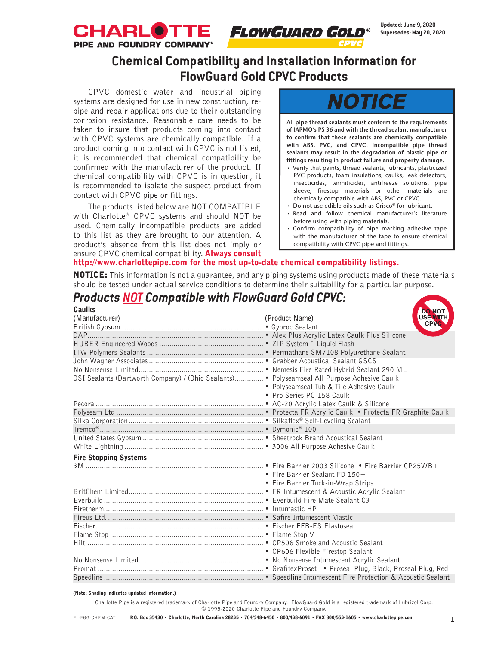

# **Chemical Compatibility and Installation Information for FlowGuard Gold CPVC Products**

CPVC domestic water and industrial piping systems are designed for use in new construction, repipe and repair applications due to their outstanding corrosion resistance. Reasonable care needs to be taken to insure that products coming into contact with CPVC systems are chemically compatible. If a product coming into contact with CPVC is not listed, it is recommended that chemical compatibility be confirmed with the manufacturer of the product. If chemical compatibility with CPVC is in question, it is recommended to isolate the suspect product from contact with CPVC pipe or fittings.

The products listed below are NOT COMPATIBLE with Charlotte® CPVC systems and should NOT be used. Chemically incompatible products are added to this list as they are brought to our attention. A product's absence from this list does not imply or ensure CPVC chemical compatibility. **Always consult** 

# NOTICE

**All pipe thread sealants must conform to the requirements of IAPMO's PS 36 and with the thread sealant manufacturer to confirm that these sealants are chemically compatible with ABS, PVC, and CPVC. Incompatible pipe thread sealants may result in the degradation of plastic pipe or fittings resulting in product failure and property damage.**

- Verify that paints, thread sealants, lubricants, plasticized PVC products, foam insulations, caulks, leak detectors, insecticides, termiticides, antifreeze solutions, pipe sleeve, firestop materials or other materials are chemically compatible with ABS, PVC or CPVC.
- Do not use edible oils such as Crisco® for lubricant.
- Read and follow chemical manufacturer's literature before using with piping materials.
- Confirm compatibility of pipe marking adhesive tape with the manufacturer of the tape to ensure chemical compatibility with CPVC pipe and fittings.

## http://www.charlottepipe.com for the most up-to-date chemical compatibility listings.

NOTICE: This information is not a quarantee, and any piping systems using products made of these materials should be tested under actual service conditions to determine their suitability for a particular purpose.

### *Products NOT Compatible with FlowGuard Gold CPVC:* **Caulks**<br>(Manufacturer) NO1 **(Product Name) MTH** British Gypsum...................................................................... • Gyproc Sealant DAP...................................................................................... • Alex Plus Acrylic Latex Caulk Plus Silicone HUBER Engineered Woods ................................................... • ZIP System™ Liquid Flash ITW Polymers Sealants ......................................................... • Permathane SM7108 Polyurethane Sealant John Wagner Associates........................................................ • Grabber Acoustical Sealant GSCS No Nonsense Limited............................................................. • Nemesis Fire Rated Hybrid Sealant 290 ML OSI Sealants (Dartworth Company) / (Ohio Sealants).............. • Polyseamseal All Purpose Adhesive Caulk • Polyseamseal Tub & Tile Adhesive Caulk • Pro Series PC-158 Caulk Pecora .................................................................................. • AC-20 Acrylic Latex Caulk & Silicone Polyseam Ltd ........................................................................ • Protecta FR Acrylic Caulk • Protecta FR Graphite Caulk Silka Corporation.................................................................. • Silkaflex® Self-Leveling Sealant Tremco® ................................................................................ • Dymonic® 100 United States Gypsum ........................................................... • Sheetrock Brand Acoustical Sealant White Lightning .................................................................... • 3006 All Purpose Adhesive Caulk Fire Stopping Systems 3M ....................................................................................... • Fire Barrier 2003 Silicone • Fire Barrier CP25WB+ • Fire Barrier Sealant FD 150+ • Fire Barrier Tuck-in-Wrap Strips BritChem Limited.................................................................. • FR Intumescent & Acoustic Acrylic Sealant Everbuild .............................................................................. • Everbuild Fire Mate Sealant C3 Firetherm.............................................................................. • Intumastic HP Fireus Ltd. ............................................................................ • Safire Intumescent Mastic Fischer.................................................................................. • Fischer FFB-ES Elastoseal Flame Stop ........................................................................... • Flame Stop V Hilti...................................................................................... • CP506 Smoke and Acoustic Sealant • CP606 Flexible Firestop Sealant No Nonsense Limited............................................................. • No Nonsense Intumescent Acrylic Sealant Promat ................................................................................. • GrafitexProset • Proseal Plug, Black, Proseal Plug, Red Speedline .............................................................................. • Speedline Intumescent Fire Protection & Acoustic Sealant

#### (Note: Shading indicates updated information.)

Charlotte Pipe is a registered trademark of Charlotte Pipe and Foundry Company. FlowGuard Gold is a registered trademark of Lubrizol Corp. © 1995-2020 Charlotte Pipe and Foundry Company.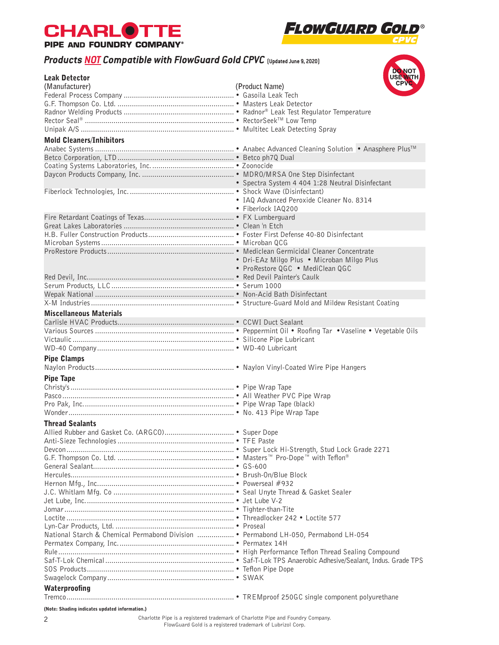



# *Products NOT Compatible with FlowGuard Gold CPVC* **(Updated June 9, 2020)**

| <b>Products NOT Compatible with FlowGuard Gold CPVC</b> (Updated June 9, 2020)      |                                                  |
|-------------------------------------------------------------------------------------|--------------------------------------------------|
| <b>Leak Detector</b>                                                                | DO NOT                                           |
| (Manufacturer)                                                                      | (Product Name)                                   |
|                                                                                     |                                                  |
|                                                                                     |                                                  |
|                                                                                     |                                                  |
|                                                                                     |                                                  |
|                                                                                     |                                                  |
|                                                                                     |                                                  |
| <b>Mold Cleaners/Inhibitors</b>                                                     |                                                  |
|                                                                                     |                                                  |
|                                                                                     |                                                  |
|                                                                                     |                                                  |
|                                                                                     |                                                  |
|                                                                                     | • Spectra System 4 404 1:28 Neutral Disinfectant |
|                                                                                     |                                                  |
|                                                                                     | · IAQ Advanced Peroxide Cleaner No. 8314         |
|                                                                                     | • Fiberlock IAQ200                               |
|                                                                                     |                                                  |
|                                                                                     |                                                  |
|                                                                                     |                                                  |
|                                                                                     |                                                  |
|                                                                                     |                                                  |
|                                                                                     | • Dri-EAz Milgo Plus • Microban Milgo Plus       |
|                                                                                     | • ProRestore QGC • MediClean QGC                 |
|                                                                                     |                                                  |
|                                                                                     |                                                  |
|                                                                                     |                                                  |
|                                                                                     |                                                  |
| <b>Miscellaneous Materials</b>                                                      |                                                  |
|                                                                                     |                                                  |
|                                                                                     |                                                  |
|                                                                                     |                                                  |
|                                                                                     |                                                  |
|                                                                                     |                                                  |
| <b>Pipe Clamps</b>                                                                  |                                                  |
|                                                                                     |                                                  |
| <b>Pipe Tape</b>                                                                    |                                                  |
|                                                                                     |                                                  |
|                                                                                     |                                                  |
|                                                                                     |                                                  |
|                                                                                     |                                                  |
| <b>Thread Sealants</b>                                                              |                                                  |
|                                                                                     |                                                  |
|                                                                                     |                                                  |
|                                                                                     |                                                  |
|                                                                                     |                                                  |
|                                                                                     |                                                  |
|                                                                                     |                                                  |
|                                                                                     |                                                  |
|                                                                                     |                                                  |
|                                                                                     |                                                  |
|                                                                                     |                                                  |
|                                                                                     |                                                  |
|                                                                                     |                                                  |
| National Starch & Chemical Permabond Division  • Permabond LH-050, Permabond LH-054 |                                                  |
|                                                                                     |                                                  |
|                                                                                     |                                                  |
|                                                                                     |                                                  |
|                                                                                     |                                                  |
|                                                                                     |                                                  |
|                                                                                     |                                                  |
| Waterproofing                                                                       |                                                  |
|                                                                                     |                                                  |

(Note: Shading indicates updated information.)

2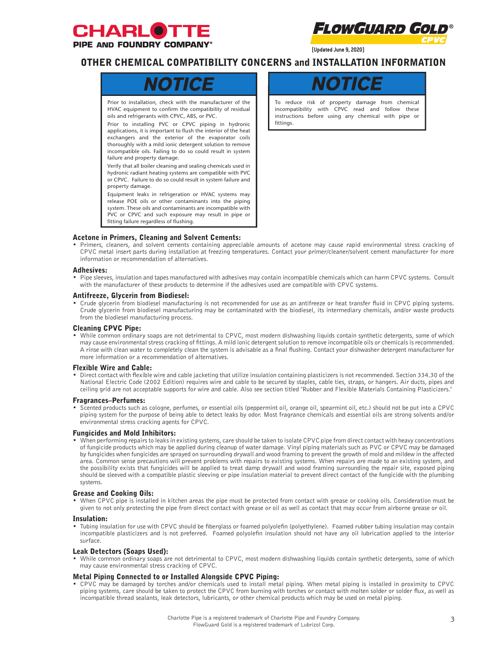



**(Updated June 9, 2020)**

# OTHER CHEMICAL COMPATIBILITY CONCERNS and INSTALLATION INFORMATION



Prior to installation, check with the manufacturer of the HVAC equipment to confirm the compatibility of residual oils and refrigerants with CPVC, ABS, or PVC.

Prior to installing PVC or CPVC piping in hydronic applications, it is important to flush the interior of the heat exchangers and the exterior of the evaporator coils thoroughly with a mild ionic detergent solution to remove incompatible oils. Failing to do so could result in system failure and property damage.

Verify that all boiler cleaning and sealing chemicals used in hydronic radiant heating systems are compatible with PVC or CPVC. Failure to do so could result in system failure and property damage.

Equipment leaks in refrigeration or HVAC systems may release POE oils or other contaminants into the piping system. These oils and contaminants are incompatible with PVC or CPVC and such exposure may result in pipe or fitting failure regardless of flushing.

To reduce risk of property damage from chemical incompatibility with CPVC read and follow these instructions before using any chemical with pipe or fittings.

## Acetone in Primers, Cleaning and Solvent Cements:

• Primers, cleaners, and solvent cements containing appreciable amounts of acetone may cause rapid environmental stress cracking of CPVC metal insert parts during installation at freezing temperatures. Contact your primer/cleaner/solvent cement manufacturer for more information or recommendation of alternatives.

#### Adhesives:

• Pipe sleeves, insulation and tapes manufactured with adhesives may contain incompatible chemicals which can harm CPVC systems. Consult with the manufacturer of these products to determine if the adhesives used are compatible with CPVC systems.

#### Antifreeze, Glycerin from Biodiesel:

• Crude glycerin from biodiesel manufacturing is not recommended for use as an antifreeze or heat transfer fluid in CPVC piping systems. Crude glycerin from biodiesel manufacturing may be contaminated with the biodiesel, its intermediary chemicals, and/or waste products from the biodiesel manufacturing process.

#### Cleaning CPVC Pipe:

• While common ordinary soaps are not detrimental to CPVC, most modern dishwashing liquids contain synthetic detergents, some of which may cause environmental stress cracking of fittings. A mild ionic detergent solution to remove incompatible oils or chemicals is recommended. A rinse with clean water to completely clean the system is advisable as a final flushing. Contact your dishwasher detergent manufacturer for more information or a recommendation of alternatives.

#### Flexible Wire and Cable:

• Direct contact with flexible wire and cable jacketing that utilize insulation containing plasticizers is not recommended. Section 334.30 of the National Electric Code (2002 Edition) requires wire and cable to be secured by staples, cable ties, straps, or hangers. Air ducts, pipes and ceiling grid are not acceptable supports for wire and cable. Also see section titled "Rubber and Flexible Materials Containing Plasticizers."

#### Fragrances–Perfumes:

• Scented products such as cologne, perfumes, or essential oils (peppermint oil, orange oil, spearmint oil, etc.) should not be put into a CPVC piping system for the purpose of being able to detect leaks by odor. Most fragrance chemicals and essential oils are strong solvents and/or environmental stress cracking agents for CPVC.

#### Fungicides and Mold Inhibitors:

• When performing repairs to leaks in existing systems, care should be taken to isolate CPVC pipe from direct contact with heavy concentrations of fungicide products which may be applied during cleanup of water damage. Vinyl piping materials such as PVC or CPVC may be damaged by fungicides when fungicides are sprayed on surrounding drywall and wood framing to prevent the growth of mold and mildew in the affected area. Common sense precautions will prevent problems with repairs to existing systems. When repairs are made to an existing system, and the possibility exists that fungicides will be applied to treat damp drywall and wood framing surrounding the repair site, exposed piping should be sleeved with a compatible plastic sleeving or pipe insulation material to prevent direct contact of the fungicide with the plumbing systems.

### Grease and Cooking Oils:

• When CPVC pipe is installed in kitchen areas the pipe must be protected from contact with grease or cooking oils. Consideration must be given to not only protecting the pipe from direct contact with grease or oil as well as contact that may occur from airborne grease or oil.

#### Insulation:

• Tubing insulation for use with CPVC should be fiberglass or foamed polyolefin (polyethylene). Foamed rubber tubing insulation may contain incompatible plasticizers and is not preferred. Foamed polyolefin insulation should not have any oil lubrication applied to the interior surface.

#### Leak Detectors (Soaps Used):

• While common ordinary soaps are not detrimental to CPVC, most modern dishwashing liquids contain synthetic detergents, some of which may cause environmental stress cracking of CPVC.

#### Metal Piping Connected to or Installed Alongside CPVC Piping:

• CPVC may be damaged by torches and/or chemicals used to install metal piping. When metal piping is installed in proximity to CPVC piping systems, care should be taken to protect the CPVC from burning with torches or contact with molten solder or solder flux, as well as incompatible thread sealants, leak detectors, lubricants, or other chemical products which may be used on metal piping.